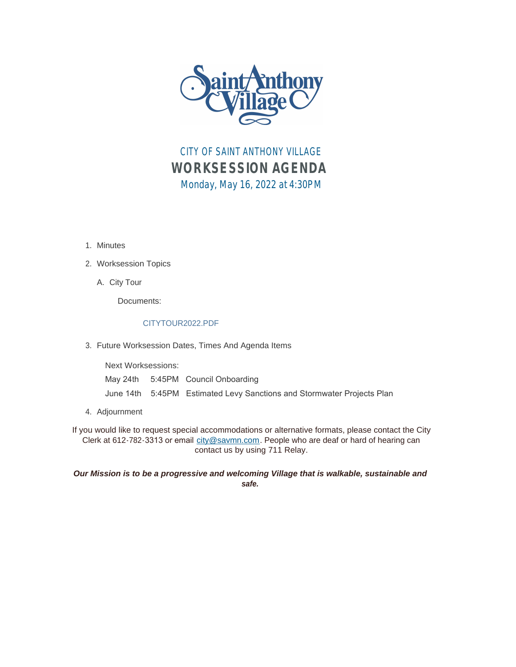

CITY OF SAINT ANTHONY VILLAGE *WORKSESSION AGENDA* Monday, May 16, 2022 at 4:30PM

1. Minutes

## Worksession Topics 2.

A. City Tour

Documents:

## CITYTOUR2022.PDF

Future Worksession Dates, Times And Agenda Items 3.

Next Worksessions: May 24th 5:45PM Council Onboarding June 14th 5:45PM Estimated Levy Sanctions and Stormwater Projects Plan

Adjournment 4.

If you would like to request special accommodations or alternative formats, please contact the City Clerk at 612-782-3313 or email [city@savmn.com](mailto:city@savmn.com). People who are deaf or hard of hearing can contact us by using 711 Relay.

*Our Mission is to be a progressive and welcoming Village that is walkable, sustainable and safe.*